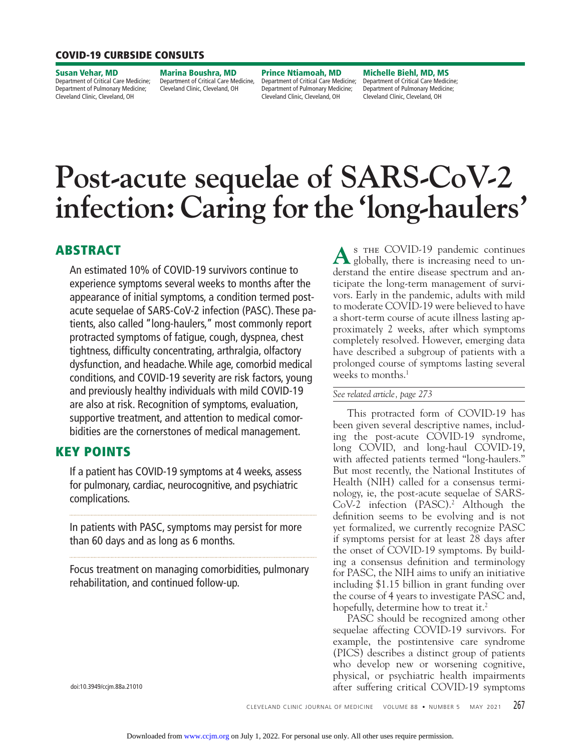# **COVID-19 CURBSIDE CONSULTS**

**Susan Vehar, MD**  Department of Critical Care Medicine; Department of Pulmonary Medicine; Cleveland Clinic, Cleveland, OH

**Marina Boushra, MD** Department of Critical Care Medicine, Cleveland Clinic, Cleveland, OH

**Prince Ntiamoah, MD**  Department of Critical Care Medicine; Department of Pulmonary Medicine; Cleveland Clinic, Cleveland, OH

**Michelle Biehl, MD, MS**  Department of Critical Care Medicine; Department of Pulmonary Medicine; Cleveland Clinic, Cleveland, OH

# **Produce SARS-Access** infection: Caring for the 'long-haulers' **infection:** Caring for the the the the theory of the theory of the theory of the second second second second second second second second second second second second second second second second second second second second

# **ABSTRACT**

An estimated 10% of COVID-19 survivors continue to experience symptoms several weeks to months after the appearance of initial symptoms, a condition termed postacute sequelae of SARS-CoV-2 infection (PASC). These patients, also called "long-haulers," most commonly report protracted symptoms of fatigue, cough, dyspnea, chest tightness, difficulty concentrating, arthralgia, olfactory dysfunction, and headache. While age, comorbid medical conditions, and COVID-19 severity are risk factors, young and previously healthy individuals with mild COVID-19 are also at risk. Recognition of symptoms, evaluation, supportive treatment, and attention to medical comorbidities are the cornerstones of medical management.

# **KEY POINTS**

If a patient has COVID-19 symptoms at 4 weeks, assess for pulmonary, cardiac, neurocognitive, and psychiatric complications.

In patients with PASC, symptoms may persist for more than 60 days and as long as 6 months.

Focus treatment on managing comorbidities, pulmonary rehabilitation, and continued follow-up.

A<sup>s THE COVID-19 pandemic continues<br>globally, there is increasing need to un-</sup> derstand the entire disease spectrum and anticipate the long-term management of survivors. Early in the pandemic, adults with mild to moderate COVID-19 were believed to have a short-term course of acute illness lasting approximately 2 weeks, after which symptoms completely resolved. However, emerging data have described a subgroup of patients with a prolonged course of symptoms lasting several weeks to months.<sup>1</sup>

#### *See related article, page 273*

 This protracted form of COVID-19 has been given several descriptive names, including the post-acute COVID-19 syndrome, long COVID, and long-haul COVID-19, with affected patients termed "long-haulers." But most recently, the National Institutes of Health (NIH) called for a consensus terminology, ie, the post-acute sequelae of SARS-CoV-2 infection (PASC).<sup>2</sup> Although the definition seems to be evolving and is not yet formalized, we currently recognize PASC if symptoms persist for at least 28 days after the onset of COVID-19 symptoms. By building a consensus definition and terminology for PASC, the NIH aims to unify an initiative including \$1.15 billion in grant funding over the course of 4 years to investigate PASC and, hopefully, determine how to treat it.<sup>2</sup>

 PASC should be recognized among other sequelae affecting COVID-19 survivors. For example, the postintensive care syndrome (PICS) describes a distinct group of patients who develop new or worsening cognitive, physical, or psychiatric health impairments after suffering critical COVID-19 symptoms

doi:10.3949/ccjm.88a.21010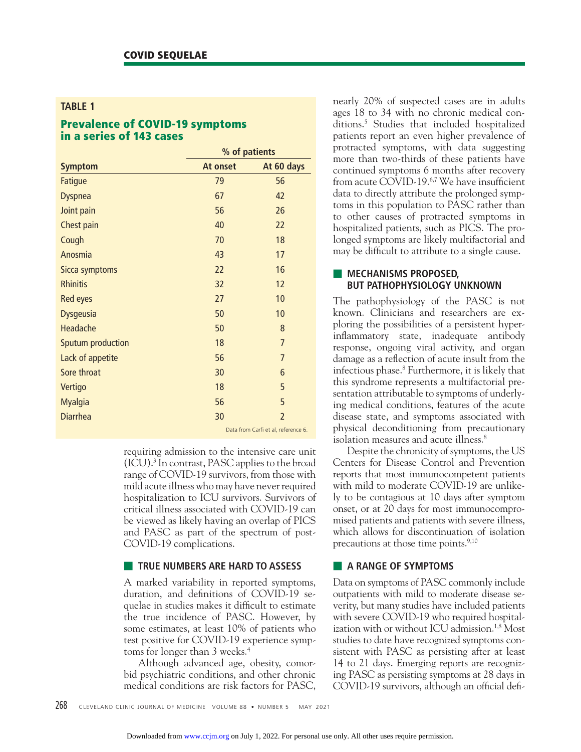#### **TABLE 1**

# **Prevalence of COVID-19 symptoms in a series of 143 cases**

| <b>Symptom</b>    | % of patients                       |                |
|-------------------|-------------------------------------|----------------|
|                   | At onset                            | At 60 days     |
| Fatigue           | 79                                  | 56             |
| <b>Dyspnea</b>    | 67                                  | 42             |
| Joint pain        | 56                                  | 26             |
| Chest pain        | 40                                  | 22             |
| Cough             | 70                                  | 18             |
| Anosmia           | 43                                  | 17             |
| Sicca symptoms    | 22                                  | 16             |
| <b>Rhinitis</b>   | 32                                  | 12             |
| <b>Red eyes</b>   | 27                                  | 10             |
| <b>Dysgeusia</b>  | 50                                  | 10             |
| Headache          | 50                                  | 8              |
| Sputum production | 18                                  | $\overline{7}$ |
| Lack of appetite  | 56                                  | $\overline{7}$ |
| Sore throat       | 30                                  | 6              |
| Vertigo           | 18                                  | 5              |
| <b>Myalgia</b>    | 56                                  | 5              |
| <b>Diarrhea</b>   | 30                                  | $\overline{2}$ |
|                   | Data from Carfi et al. reference 6. |                |

requiring admission to the intensive care unit (ICU).3 In contrast, PASC applies to the broad range of COVID-19 survivors, from those with mild acute illness who may have never required hospitalization to ICU survivors. Survivors of critical illness associated with COVID-19 can be viewed as likely having an overlap of PICS and PASC as part of the spectrum of post-COVID-19 complications.

#### ■ **TRUE NUMBERS ARE HARD TO ASSESS**

A marked variability in reported symptoms, duration, and definitions of COVID-19 sequelae in studies makes it difficult to estimate the true incidence of PASC. However, by some estimates, at least 10% of patients who test positive for COVID-19 experience symptoms for longer than 3 weeks.<sup>4</sup>

 Although advanced age, obesity, comorbid psychiatric conditions, and other chronic medical conditions are risk factors for PASC,

nearly 20% of suspected cases are in adults ages 18 to 34 with no chronic medical conditions.5 Studies that included hospitalized patients report an even higher prevalence of protracted symptoms, with data suggesting more than two-thirds of these patients have continued symptoms 6 months after recovery from acute COVID-19.<sup>6,7</sup> We have insufficient data to directly attribute the prolonged symptoms in this population to PASC rather than to other causes of protracted symptoms in hospitalized patients, such as PICS. The prolonged symptoms are likely multifactorial and may be difficult to attribute to a single cause.

#### **EXECUTANISMS PROPOSED, BUT PATHOPHYSIOLOGY UNKNOWN**

The pathophysiology of the PASC is not known. Clinicians and researchers are exploring the possibilities of a persistent hyperinflammatory state, inadequate antibody response, ongoing viral activity, and organ damage as a reflection of acute insult from the infectious phase.8 Furthermore, it is likely that this syndrome represents a multifactorial presentation attributable to symptoms of underlying medical conditions, features of the acute disease state, and symptoms associated with physical deconditioning from precautionary isolation measures and acute illness.8

 Despite the chronicity of symptoms, the US Centers for Disease Control and Prevention reports that most immunocompetent patients with mild to moderate COVID-19 are unlikely to be contagious at 10 days after symptom onset, or at 20 days for most immunocompromised patients and patients with severe illness, which allows for discontinuation of isolation precautions at those time points.<sup>9,10</sup>

#### ■ **A RANGE OF SYMPTOMS**

Data on symptoms of PASC commonly include outpatients with mild to moderate disease severity, but many studies have included patients with severe COVID-19 who required hospitalization with or without ICU admission.<sup>1,8</sup> Most studies to date have recognized symptoms consistent with PASC as persisting after at least 14 to 21 days. Emerging reports are recognizing PASC as persisting symptoms at 28 days in COVID-19 survivors, although an official defi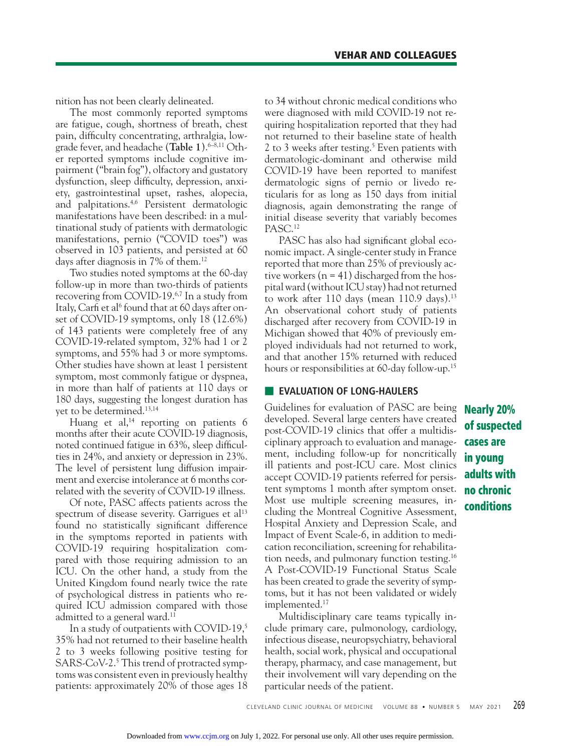nition has not been clearly delineated.

 The most commonly reported symptoms are fatigue, cough, shortness of breath, chest pain, difficulty concentrating, arthralgia, lowgrade fever, and headache (Table 1).<sup>6-8,11</sup> Other reported symptoms include cognitive impairment ("brain fog"), olfactory and gustatory dysfunction, sleep difficulty, depression, anxiety, gastrointestinal upset, rashes, alopecia, and palpitations.4,6 Persistent dermatologic manifestations have been described: in a multinational study of patients with dermatologic manifestations, pernio ("COVID toes") was observed in 103 patients, and persisted at 60 days after diagnosis in 7% of them.<sup>12</sup>

 Two studies noted symptoms at the 60-day follow-up in more than two-thirds of patients recovering from COVID-19.6,7 In a study from Italy, Carfi et al<sup>6</sup> found that at 60 days after onset of COVID-19 symptoms, only 18 (12.6%) of 143 patients were completely free of any COVID-19 -related symptom, 32% had 1 or 2 symptoms, and 55% had 3 or more symptoms. Other studies have shown at least 1 persistent symptom, most commonly fatigue or dyspnea, in more than half of patients at 110 days or 180 days, suggesting the longest duration has yet to be determined.<sup>13,14</sup>

Huang et al, $14$  reporting on patients 6 months after their acute COVID-19 diagnosis, noted continued fatigue in 63%, sleep difficulties in 24%, and anxiety or depression in 23%. The level of persistent lung diffusion impairment and exercise intolerance at 6 months correlated with the severity of COVID-19 illness.

 Of note, PASC affects patients across the spectrum of disease severity. Garrigues et al<sup>13</sup> found no statistically significant difference in the symptoms reported in patients with COVID-19 requiring hospitalization compared with those requiring admission to an ICU. On the other hand, a study from the United Kingdom found nearly twice the rate of psychological distress in patients who required ICU admission compared with those admitted to a general ward.<sup>11</sup>

 In a study of outpatients with COVID-19,5 35% had not returned to their baseline health 2 to 3 weeks following positive testing for SARS-CoV-2.<sup>5</sup> This trend of protracted symptoms was consistent even in previously healthy patients: approximately 20% of those ages 18

to 34 without chronic medical conditions who were diagnosed with mild COVID-19 not requiring hospitalization reported that they had not returned to their baseline state of health 2 to 3 weeks after testing.5 Even patients with dermatologic-dominant and otherwise mild COVID-19 have been reported to manifest dermatologic signs of pernio or livedo reticularis for as long as 150 days from initial diagnosis, again demonstrating the range of initial disease severity that variably becomes PASC.12

PASC has also had significant global economic impact. A single-center study in France reported that more than 25% of previously active workers  $(n = 41)$  discharged from the hospital ward (without ICU stay) had not returned to work after  $110$  days (mean  $110.9$  days).<sup>13</sup> An observational cohort study of patients discharged after recovery from COVID-19 in Michigan showed that 40% of previously employed individuals had not returned to work, and that another 15% returned with reduced hours or responsibilities at 60-day follow-up.<sup>15</sup>

#### ■ **EVALUATION OF LONG-HAULERS**

Guidelines for evaluation of PASC are being developed. Several large centers have created post-COVID-19 clinics that offer a multidisciplinary approach to evaluation and management, including follow-up for noncritically ill patients and post-ICU care. Most clinics accept COVID-19 patients referred for persistent symptoms 1 month after symptom onset. Most use multiple screening measures, including the Montreal Cognitive Assessment, Hospital Anxiety and Depression Scale, and Impact of Event Scale-6, in addition to medication reconciliation, screening for rehabilitation needs, and pulmonary function testing.16 A Post-COVID-19 Functional Status Scale has been created to grade the severity of symptoms, but it has not been validated or widely implemented.17

 Multidisciplinary care teams typically include primary care, pulmonology, cardiology, infectious disease, neuropsychiatry, behavioral health, social work, physical and occupational therapy, pharmacy, and case management, but their involvement will vary depending on the particular needs of the patient.

**Nearly 20% of suspected cases are in young adults with no chronic conditions**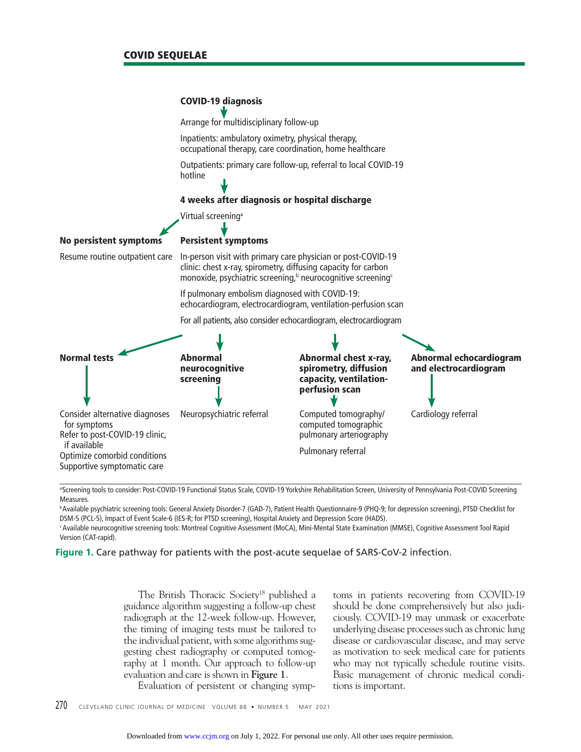

aScreening tools to consider: Post-COVID-19 Functional Status Scale, COVID-19 Yorkshire Rehabilitation Screen, University of Pennsylvania Post-COVID Screening Measures.

b Available psychiatric screening tools: General Anxiety Disorder-7 (GAD-7), Patient Health Questionnaire-9 (PHQ-9; for depression screening), PTSD Checklist for DSM-5 (PCL-5), Impact of Event Scale-6 (IES-R; for PTSD screening), Hospital Anxiety and Depression Score (HADS).

c Available neurocognitive screening tools: Montreal Cognitive Assessment (MoCA), Mini-Mental State Examination (MMSE), Cognitive Assessment Tool Rapid Version (CAT-rapid).

**Figure 1.** Care pathway for patients with the post-acute sequelae of SARS-CoV-2 infection.

The British Thoracic Society<sup>18</sup> published a guidance algorithm suggesting a follow-up chest radiograph at the 12-week follow-up. However, the timing of imaging tests must be tailored to the individual patient, with some algorithms suggesting chest radiography or computed tomography at 1 month. Our approach to follow-up evaluation and care is shown in **Figure 1**.

toms in patients recovering from COVID-19 should be done comprehensively but also judiciously. COVID-19 may unmask or exacerbate underlying disease processes such as chronic lung disease or cardiovascular disease, and may serve as motivation to seek medical care for patients who may not typically schedule routine visits. Basic management of chronic medical conditions is important.

Evaluation of persistent or changing symp-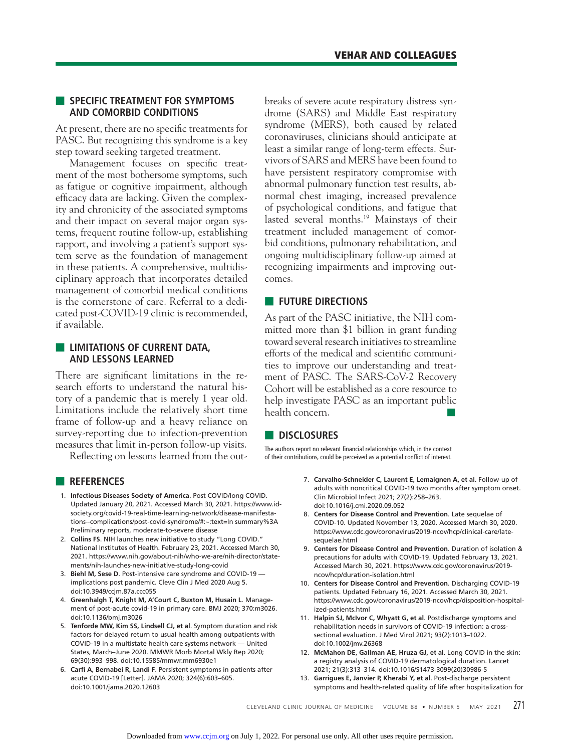#### ■ **SPECIFIC TREATMENT FOR SYMPTOMS AND COMORBID CONDITIONS**

At present, there are no specific treatments for PASC. But recognizing this syndrome is a key step toward seeking targeted treatment.

Management focuses on specific treatment of the most bothersome symptoms, such as fatigue or cognitive impairment, although efficacy data are lacking. Given the complexity and chronicity of the associated symptoms and their impact on several major organ systems, frequent routine follow-up, establishing rapport, and involving a patient's support system serve as the foundation of management in these patients. A comprehensive, multidisciplinary approach that incorporates detailed management of comorbid medical conditions is the cornerstone of care. Referral to a dedicated post-COVID-19 clinic is recommended, if available.

### **E** LIMITATIONS OF CURRENT DATA, **AND LESSONS LEARNED**

There are significant limitations in the research efforts to understand the natural history of a pandemic that is merely 1 year old. Limitations include the relatively short time frame of follow-up and a heavy reliance on survey-reporting due to infection-prevention measures that limit in-person follow-up visits.

Reflecting on lessons learned from the out-

- **REFERENCES**
- 1. **Infectious Diseases Society of America**. Post COVID/long COVID. Updated January 20, 2021. Accessed March 30, 2021. https://www.idsociety.org/covid-19-real-time-learning-network/disease-manifestations--complications/post-covid-syndrome/#:~:text=In summary%3A Preliminary reports, moderate-to-severe disease
- 2. **Collins FS**. NIH launches new initiative to study "Long COVID." National Institutes of Health. February 23, 2021. Accessed March 30, 2021. https://www.nih.gov/about-nih/who-we-are/nih-director/statements/nih-launches-new-initiative-study-long-covid
- 3. **Biehl M, Sese D**. Post-intensive care syndrome and COVID-19 implications post pandemic. Cleve Clin J Med 2020 Aug 5. doi:10.3949/ccjm.87a.ccc055
- 4. **Greenhalgh T, Knight M, A'Court C, Buxton M, Husain L**. Management of post-acute covid-19 in primary care. BMJ 2020; 370:m3026. doi:10.1136/bmj.m3026
- 5. **Tenforde MW, Kim SS, Lindsell CJ, et al**. Symptom duration and risk factors for delayed return to usual health among outpatients with COVID-19 in a multistate health care systems network — United States, March–June 2020. MMWR Morb Mortal Wkly Rep 2020; 69(30):993–998. doi:10.15585/mmwr.mm6930e1
- 6. **Carfì A, Bernabei R, Landi F**. Persistent symptoms in patients after acute COVID-19 [Letter]. JAMA 2020; 324(6):603–605. doi:10.1001/jama.2020.12603

breaks of severe acute respiratory distress syndrome (SARS) and Middle East respiratory syndrome (MERS), both caused by related coronaviruses, clinicians should anticipate at least a similar range of long-term effects. Survivors of SARS and MERS have been found to have persistent respiratory compromise with abnormal pulmonary function test results, abnormal chest imaging, increased prevalence of psychological conditions, and fatigue that lasted several months.19 Mainstays of their treatment included management of comorbid conditions, pulmonary rehabilitation, and ongoing multidisciplinary follow-up aimed at recognizing impairments and improving outcomes.

#### ■ **FUTURE DIRECTIONS**

As part of the PASC initiative, the NIH committed more than \$1 billion in grant funding toward several research initiatives to streamline efforts of the medical and scientific communities to improve our understanding and treatment of PASC. The SARS-CoV-2 Recovery Cohort will be established as a core resource to help investigate PASC as an important public health concern.

## ■ **DISCLOSURES**

The authors report no relevant financial relationships which, in the context of their contributions, could be perceived as a potential conflict of interest.

- 7. **Carvalho-Schneider C, Laurent E, Lemaignen A, et al**. Follow-up of adults with noncritical COVID-19 two months after symptom onset. Clin Microbiol Infect 2021; 27(2):258–263. doi:10.1016/j.cmi.2020.09.052
- 8. **Centers for Disease Control and Prevention**. Late sequelae of COVID-10. Updated November 13, 2020. Accessed March 30, 2020. https://www.cdc.gov/coronavirus/2019-ncov/hcp/clinical-care/latesequelae.html
- 9. **Centers for Disease Control and Prevention**. Duration of isolation & precautions for adults with COVID-19. Updated February 13, 2021. Accessed March 30, 2021. https://www.cdc.gov/coronavirus/2019 ncov/hcp/duration-isolation.html
- 10. **Centers for Disease Control and Prevention**. Discharging COVID-19 patients. Updated February 16, 2021. Accessed March 30, 2021. https://www.cdc.gov/coronavirus/2019-ncov/hcp/disposition-hospitalized-patients.html
- 11. **Halpin SJ, McIvor C, Whyatt G, et al**. Postdischarge symptoms and rehabilitation needs in survivors of COVID-19 infection: a crosssectional evaluation. J Med Virol 2021; 93(2):1013–1022. doi:10.1002/jmv.26368
- 12. **McMahon DE, Gallman AE, Hruza GJ, et al**. Long COVID in the skin: a registry analysis of COVID-19 dermatological duration. Lancet 2021; 21(3):313–314. doi:10.1016/S1473-3099(20)30986-5
- 13. **Garrigues E, Janvier P, Kherabi Y, et al**. Post-discharge persistent symptoms and health-related quality of life after hospitalization for